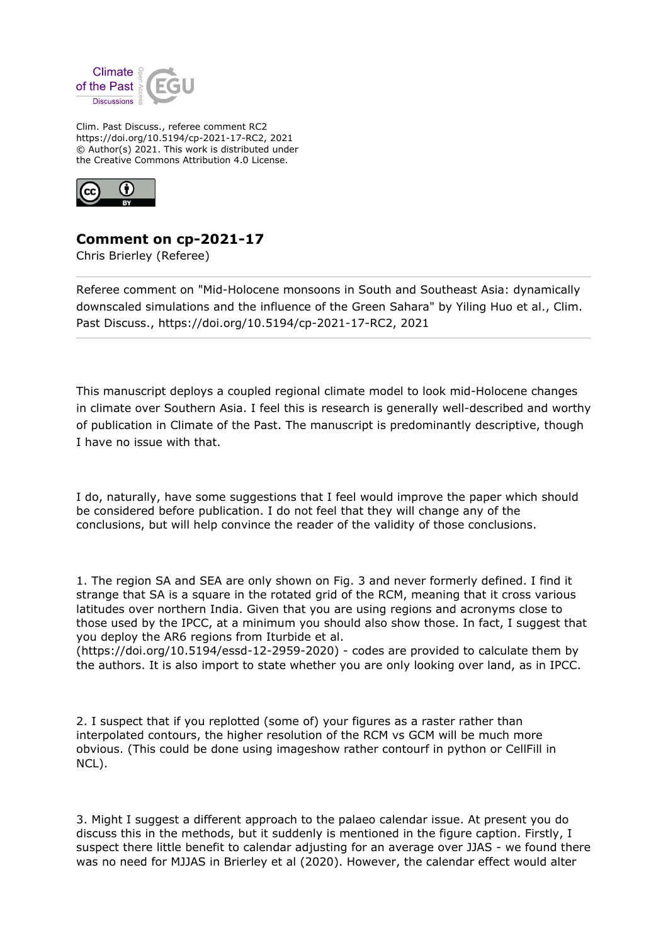

Clim. Past Discuss., referee comment RC2 https://doi.org/10.5194/cp-2021-17-RC2, 2021 © Author(s) 2021. This work is distributed under the Creative Commons Attribution 4.0 License.



## **Comment on cp-2021-17**

Chris Brierley (Referee)

Referee comment on "Mid-Holocene monsoons in South and Southeast Asia: dynamically downscaled simulations and the influence of the Green Sahara" by Yiling Huo et al., Clim. Past Discuss., https://doi.org/10.5194/cp-2021-17-RC2, 2021

This manuscript deploys a coupled regional climate model to look mid-Holocene changes in climate over Southern Asia. I feel this is research is generally well-described and worthy of publication in Climate of the Past. The manuscript is predominantly descriptive, though I have no issue with that.

I do, naturally, have some suggestions that I feel would improve the paper which should be considered before publication. I do not feel that they will change any of the conclusions, but will help convince the reader of the validity of those conclusions.

1. The region SA and SEA are only shown on Fig. 3 and never formerly defined. I find it strange that SA is a square in the rotated grid of the RCM, meaning that it cross various latitudes over northern India. Given that you are using regions and acronyms close to those used by the IPCC, at a minimum you should also show those. In fact, I suggest that you deploy the AR6 regions from Iturbide et al.

(https://doi.org/10.5194/essd-12-2959-2020) - codes are provided to calculate them by the authors. It is also import to state whether you are only looking over land, as in IPCC.

2. I suspect that if you replotted (some of) your figures as a raster rather than interpolated contours, the higher resolution of the RCM vs GCM will be much more obvious. (This could be done using imageshow rather contourf in python or CellFill in NCL).

3. Might I suggest a different approach to the palaeo calendar issue. At present you do discuss this in the methods, but it suddenly is mentioned in the figure caption. Firstly, I suspect there little benefit to calendar adjusting for an average over JJAS - we found there was no need for MJJAS in Brierley et al (2020). However, the calendar effect would alter